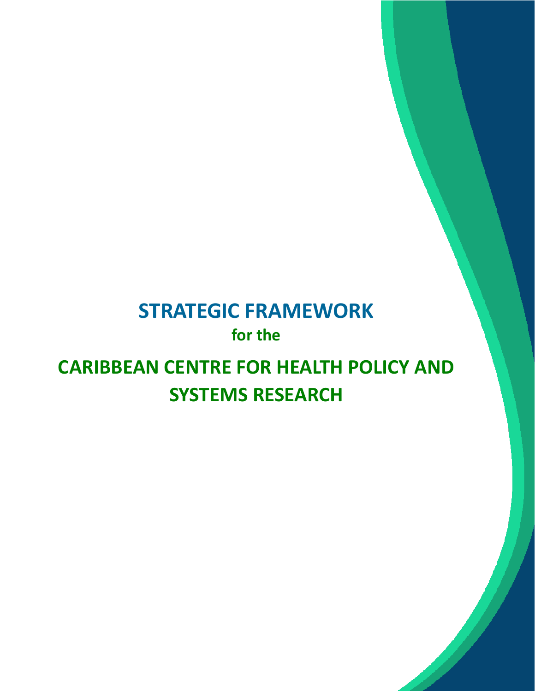# **STRATEGIC FRAMEWORK for the**

# **CARIBBEAN CENTRE FOR HEALTH POLICY AND SYSTEMS RESEARCH**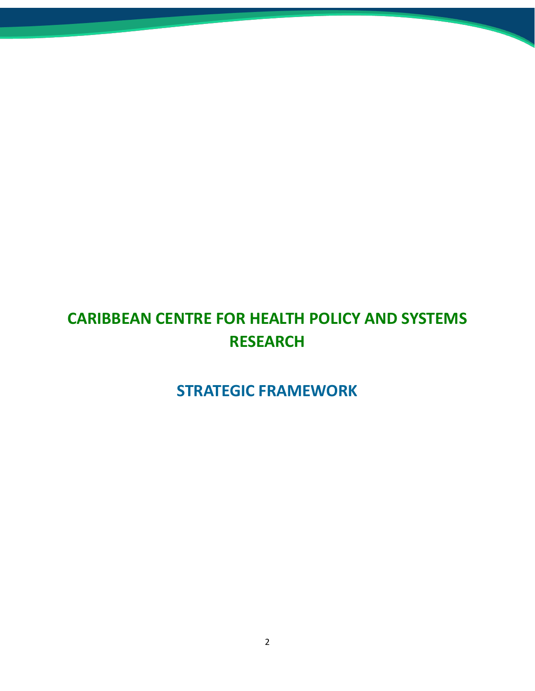## **CARIBBEAN CENTRE FOR HEALTH POLICY AND SYSTEMS RESEARCH**

### **STRATEGIC FRAMEWORK**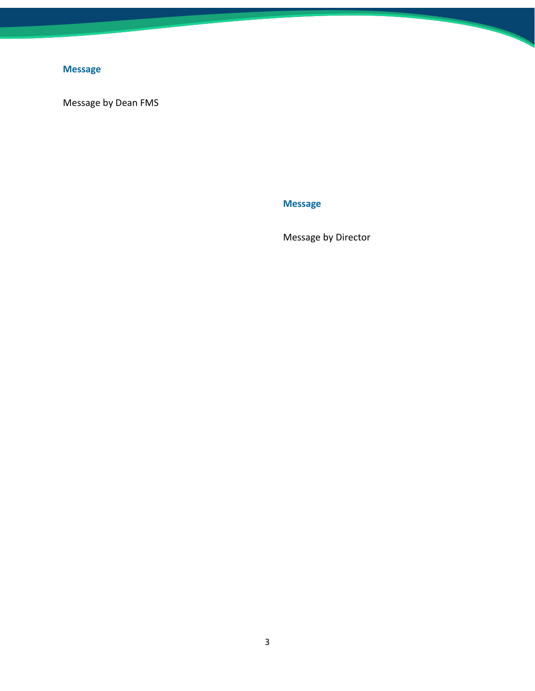### <span id="page-2-0"></span>**Message**

<span id="page-2-1"></span>Message by Dean FMS

**Message**

Message by Director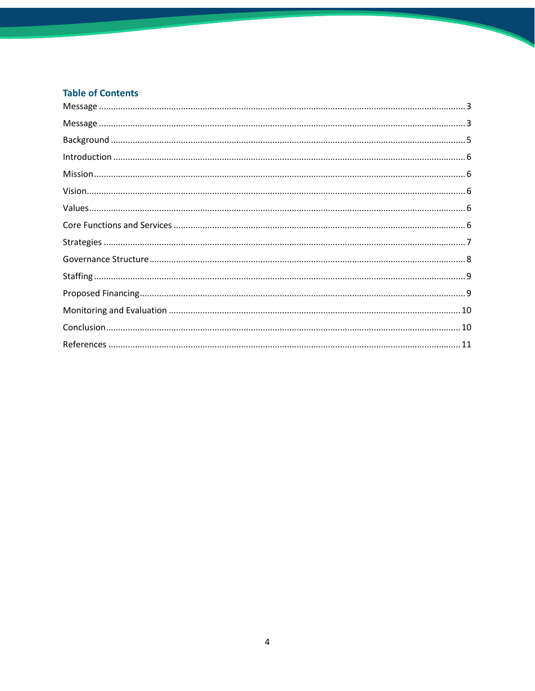#### **Table of Contents**

| $\label{lem:1} \mbox{Introduction} \,\, \ldots \,\, \ldots \,\, \ldots \,\, \ldots \,\, \ldots \,\, \ldots \,\, \ldots \,\, \ldots \,\, \ldots \,\, \ldots \,\, \ldots \,\, \ldots \,\, \ldots \,\, \ldots \,\, \ldots \,\, \ldots \,\, \ldots \,\, \ldots \,\, \ldots \,\, \ldots \,\, \ldots \,\, \ldots \,\, \ldots \,\, \ldots \,\, \ldots \,\, \ldots \,\, \ldots \,\, \ldots \,\, \ldots \,\, \ldots \,\, \ldots \,\, \ldots \,\, \ldots \,\, \ldots \,\,$ |
|------------------------------------------------------------------------------------------------------------------------------------------------------------------------------------------------------------------------------------------------------------------------------------------------------------------------------------------------------------------------------------------------------------------------------------------------------------------|
|                                                                                                                                                                                                                                                                                                                                                                                                                                                                  |
|                                                                                                                                                                                                                                                                                                                                                                                                                                                                  |
|                                                                                                                                                                                                                                                                                                                                                                                                                                                                  |
|                                                                                                                                                                                                                                                                                                                                                                                                                                                                  |
|                                                                                                                                                                                                                                                                                                                                                                                                                                                                  |
|                                                                                                                                                                                                                                                                                                                                                                                                                                                                  |
|                                                                                                                                                                                                                                                                                                                                                                                                                                                                  |
|                                                                                                                                                                                                                                                                                                                                                                                                                                                                  |
|                                                                                                                                                                                                                                                                                                                                                                                                                                                                  |
|                                                                                                                                                                                                                                                                                                                                                                                                                                                                  |
|                                                                                                                                                                                                                                                                                                                                                                                                                                                                  |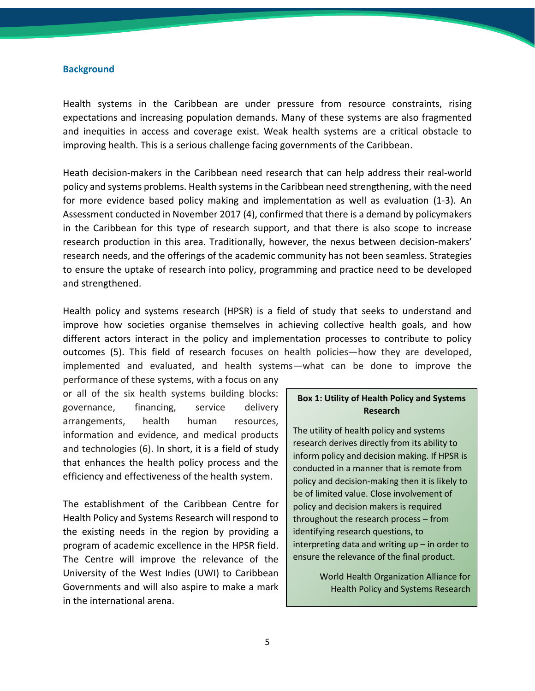#### <span id="page-4-0"></span>**Background**

Health systems in the Caribbean are under pressure from resource constraints, rising expectations and increasing population demands. Many of these systems are also fragmented and inequities in access and coverage exist. Weak health systems are a critical obstacle to improving health. This is a serious challenge facing governments of the Caribbean.

Heath decision-makers in the Caribbean need research that can help address their real-world policy and systems problems. Health systems in the Caribbean need strengthening, with the need for more evidence based policy making and implementation as well as evaluation (1-3). An Assessment conducted in November 2017 (4), confirmed that there is a demand by policymakers in the Caribbean for this type of research support, and that there is also scope to increase research production in this area. Traditionally, however, the nexus between decision-makers' research needs, and the offerings of the academic community has not been seamless. Strategies to ensure the uptake of research into policy, programming and practice need to be developed and strengthened.

Health policy and systems research (HPSR) is a field of study that seeks to understand and improve how societies organise themselves in achieving collective health goals, and how different actors interact in the policy and implementation processes to contribute to policy outcomes (5). This field of research focuses on health policies—how they are developed, implemented and evaluated, and health systems—what can be done to improve the

performance of these systems, with a focus on any or all of the six health systems building blocks: governance, financing, service delivery arrangements, health human resources, information and evidence, and medical products and technologies (6). In short, it is a field of study that enhances the health policy process and the efficiency and effectiveness of the health system.

The establishment of the Caribbean Centre for Health Policy and Systems Research will respond to the existing needs in the region by providing a program of academic excellence in the HPSR field. The Centre will improve the relevance of the University of the West Indies (UWI) to Caribbean Governments and will also aspire to make a mark in the international arena.

#### **Box 1: Utility of Health Policy and Systems Research**

The utility of health policy and systems research derives directly from its ability to inform policy and decision making. If HPSR is conducted in a manner that is remote from policy and decision-making then it is likely to be of limited value. Close involvement of policy and decision makers is required throughout the research process – from identifying research questions, to interpreting data and writing up – in order to ensure the relevance of the final product.

> World Health Organization Alliance for Health Policy and Systems Research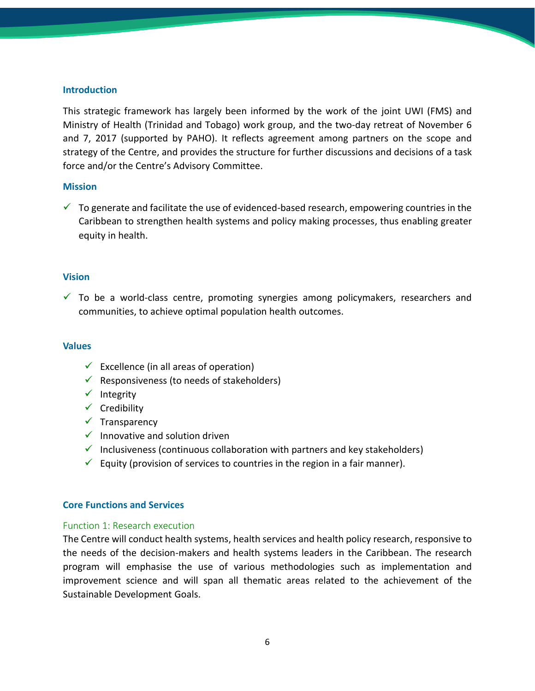#### <span id="page-5-0"></span>**Introduction**

This strategic framework has largely been informed by the work of the joint UWI (FMS) and Ministry of Health (Trinidad and Tobago) work group, and the two-day retreat of November 6 and 7, 2017 (supported by PAHO). It reflects agreement among partners on the scope and strategy of the Centre, and provides the structure for further discussions and decisions of a task force and/or the Centre's Advisory Committee.

#### <span id="page-5-1"></span>**Mission**

 $\checkmark$  To generate and facilitate the use of evidenced-based research, empowering countries in the Caribbean to strengthen health systems and policy making processes, thus enabling greater equity in health.

#### <span id="page-5-2"></span>**Vision**

 $\checkmark$  To be a world-class centre, promoting synergies among policymakers, researchers and communities, to achieve optimal population health outcomes.

#### <span id="page-5-3"></span>**Values**

- $\checkmark$  Excellence (in all areas of operation)
- $\checkmark$  Responsiveness (to needs of stakeholders)
- $\checkmark$  Integrity
- $\checkmark$  Credibility
- $\checkmark$  Transparency
- $\checkmark$  Innovative and solution driven
- $\checkmark$  Inclusiveness (continuous collaboration with partners and key stakeholders)
- $\checkmark$  Equity (provision of services to countries in the region in a fair manner).

#### <span id="page-5-4"></span>**Core Functions and Services**

#### Function 1: Research execution

The Centre will conduct health systems, health services and health policy research, responsive to the needs of the decision-makers and health systems leaders in the Caribbean. The research program will emphasise the use of various methodologies such as implementation and improvement science and will span all thematic areas related to the achievement of the Sustainable Development Goals.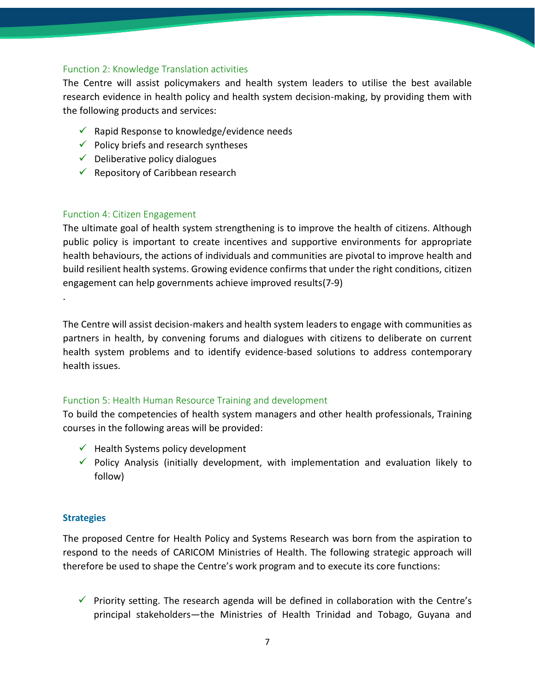#### Function 2: Knowledge Translation activities

The Centre will assist policymakers and health system leaders to utilise the best available research evidence in health policy and health system decision-making, by providing them with the following products and services:

- $\checkmark$  Rapid Response to knowledge/evidence needs
- $\checkmark$  Policy briefs and research syntheses
- $\checkmark$  Deliberative policy dialogues
- $\checkmark$  Repository of Caribbean research

#### Function 4: Citizen Engagement

The ultimate goal of health system strengthening is to improve the health of citizens. Although public policy is important to create incentives and supportive environments for appropriate health behaviours, the actions of individuals and communities are pivotal to improve health and build resilient health systems. Growing evidence confirms that under the right conditions, citizen engagement can help governments achieve improved results(7-9)

The Centre will assist decision-makers and health system leaders to engage with communities as partners in health, by convening forums and dialogues with citizens to deliberate on current health system problems and to identify evidence-based solutions to address contemporary health issues.

#### Function 5: Health Human Resource Training and development

To build the competencies of health system managers and other health professionals, Training courses in the following areas will be provided:

- $\checkmark$  Health Systems policy development
- $\checkmark$  Policy Analysis (initially development, with implementation and evaluation likely to follow)

#### <span id="page-6-0"></span>**Strategies**

.

The proposed Centre for Health Policy and Systems Research was born from the aspiration to respond to the needs of CARICOM Ministries of Health. The following strategic approach will therefore be used to shape the Centre's work program and to execute its core functions:

 $\checkmark$  Priority setting. The research agenda will be defined in collaboration with the Centre's principal stakeholders—the Ministries of Health Trinidad and Tobago, Guyana and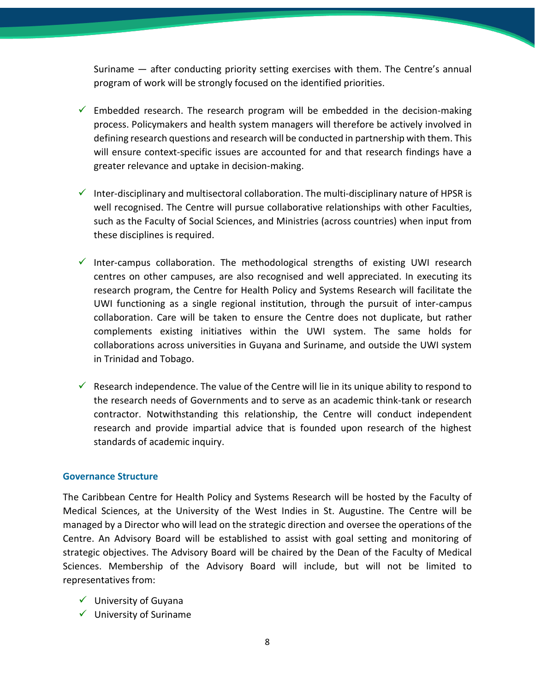Suriname — after conducting priority setting exercises with them. The Centre's annual program of work will be strongly focused on the identified priorities.

- $\checkmark$  Embedded research. The research program will be embedded in the decision-making process. Policymakers and health system managers will therefore be actively involved in defining research questions and research will be conducted in partnership with them. This will ensure context-specific issues are accounted for and that research findings have a greater relevance and uptake in decision-making.
- $\checkmark$  Inter-disciplinary and multisectoral collaboration. The multi-disciplinary nature of HPSR is well recognised. The Centre will pursue collaborative relationships with other Faculties, such as the Faculty of Social Sciences, and Ministries (across countries) when input from these disciplines is required.
- $\checkmark$  Inter-campus collaboration. The methodological strengths of existing UWI research centres on other campuses, are also recognised and well appreciated. In executing its research program, the Centre for Health Policy and Systems Research will facilitate the UWI functioning as a single regional institution, through the pursuit of inter-campus collaboration. Care will be taken to ensure the Centre does not duplicate, but rather complements existing initiatives within the UWI system. The same holds for collaborations across universities in Guyana and Suriname, and outside the UWI system in Trinidad and Tobago.
- $\checkmark$  Research independence. The value of the Centre will lie in its unique ability to respond to the research needs of Governments and to serve as an academic think-tank or research contractor. Notwithstanding this relationship, the Centre will conduct independent research and provide impartial advice that is founded upon research of the highest standards of academic inquiry.

#### <span id="page-7-0"></span>**Governance Structure**

The Caribbean Centre for Health Policy and Systems Research will be hosted by the Faculty of Medical Sciences, at the University of the West Indies in St. Augustine. The Centre will be managed by a Director who will lead on the strategic direction and oversee the operations of the Centre. An Advisory Board will be established to assist with goal setting and monitoring of strategic objectives. The Advisory Board will be chaired by the Dean of the Faculty of Medical Sciences. Membership of the Advisory Board will include, but will not be limited to representatives from:

- $\checkmark$  University of Guyana
- $\checkmark$  University of Suriname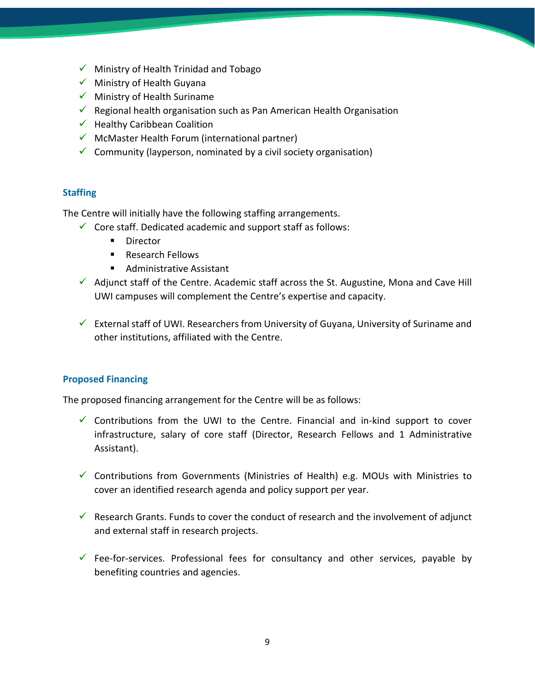- $\checkmark$  Ministry of Health Trinidad and Tobago
- ✓ Ministry of Health Guyana
- $\checkmark$  Ministry of Health Suriname
- $\checkmark$  Regional health organisation such as Pan American Health Organisation
- $\checkmark$  Healthy Caribbean Coalition
- $\checkmark$  McMaster Health Forum (international partner)
- $\checkmark$  Community (layperson, nominated by a civil society organisation)

#### <span id="page-8-0"></span>**Staffing**

The Centre will initially have the following staffing arrangements.

- $\checkmark$  Core staff. Dedicated academic and support staff as follows:
	- Director
	- Research Fellows
	- Administrative Assistant
- $\checkmark$  Adjunct staff of the Centre. Academic staff across the St. Augustine, Mona and Cave Hill UWI campuses will complement the Centre's expertise and capacity.
- $\checkmark$  External staff of UWI. Researchers from University of Guyana, University of Suriname and other institutions, affiliated with the Centre.

#### <span id="page-8-1"></span>**Proposed Financing**

The proposed financing arrangement for the Centre will be as follows:

- $\checkmark$  Contributions from the UWI to the Centre. Financial and in-kind support to cover infrastructure, salary of core staff (Director, Research Fellows and 1 Administrative Assistant).
- ✓ Contributions from Governments (Ministries of Health) e.g. MOUs with Ministries to cover an identified research agenda and policy support per year.
- $\checkmark$  Research Grants. Funds to cover the conduct of research and the involvement of adjunct and external staff in research projects.
- $\checkmark$  Fee-for-services. Professional fees for consultancy and other services, payable by benefiting countries and agencies.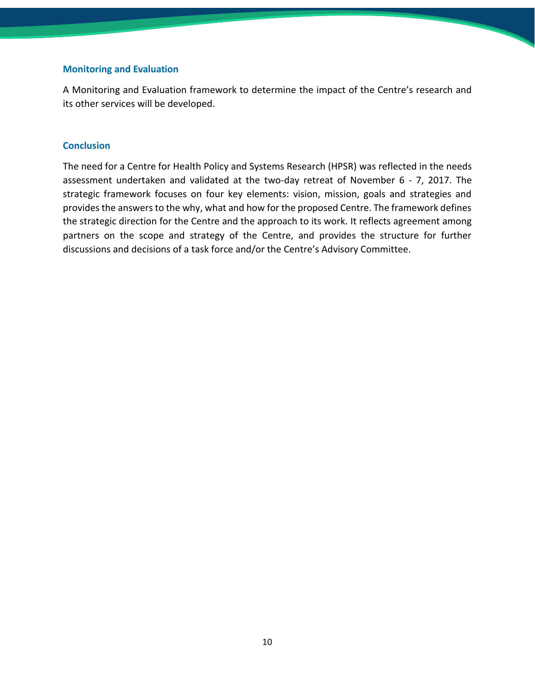#### <span id="page-9-0"></span>**Monitoring and Evaluation**

A Monitoring and Evaluation framework to determine the impact of the Centre's research and its other services will be developed.

#### <span id="page-9-1"></span>**Conclusion**

The need for a Centre for Health Policy and Systems Research (HPSR) was reflected in the needs assessment undertaken and validated at the two-day retreat of November 6 - 7, 2017. The strategic framework focuses on four key elements: vision, mission, goals and strategies and provides the answers to the why, what and how for the proposed Centre. The framework defines the strategic direction for the Centre and the approach to its work. It reflects agreement among partners on the scope and strategy of the Centre, and provides the structure for further discussions and decisions of a task force and/or the Centre's Advisory Committee.